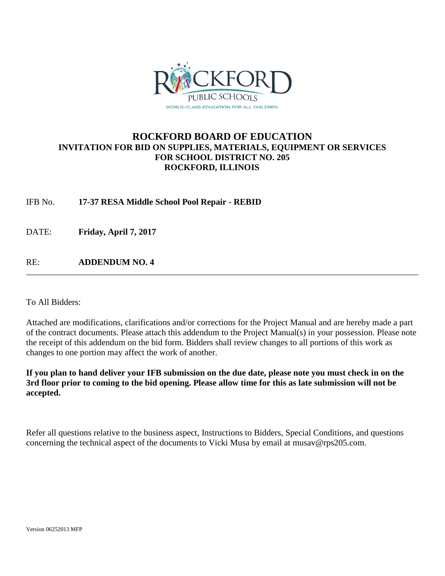

## **ROCKFORD BOARD OF EDUCATION INVITATION FOR BID ON SUPPLIES, MATERIALS, EQUIPMENT OR SERVICES FOR SCHOOL DISTRICT NO. 205 ROCKFORD, ILLINOIS**

IFB No. **17-37 RESA Middle School Pool Repair - REBID**

DATE: **Friday, April 7, 2017**

RE: **ADDENDUM NO. 4**

To All Bidders:

Attached are modifications, clarifications and/or corrections for the Project Manual and are hereby made a part of the contract documents. Please attach this addendum to the Project Manual(s) in your possession. Please note the receipt of this addendum on the bid form. Bidders shall review changes to all portions of this work as changes to one portion may affect the work of another.

**If you plan to hand deliver your IFB submission on the due date, please note you must check in on the 3rd floor prior to coming to the bid opening. Please allow time for this as late submission will not be accepted.**

Refer all questions relative to the business aspect, Instructions to Bidders, Special Conditions, and questions concerning the technical aspect of the documents to Vicki Musa by email at musav@rps205.com.